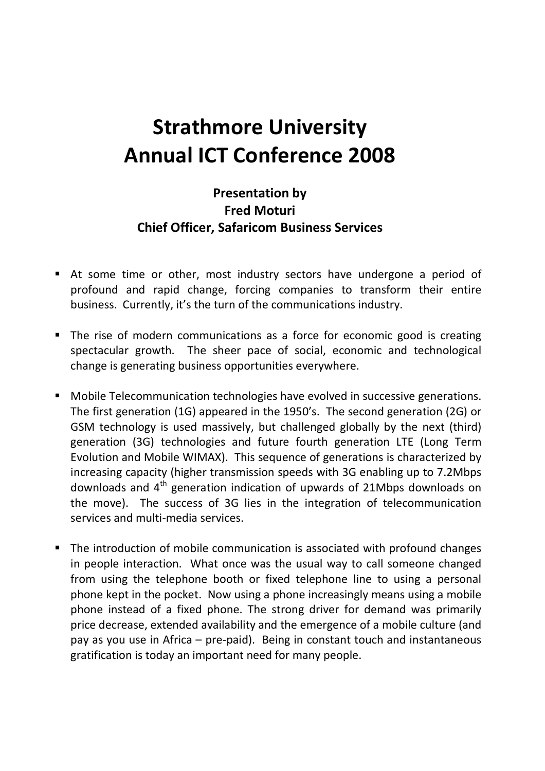## **Strathmore University Annual ICT Conference 2008**

## **Presentation by Fred Moturi Chief Officer, Safaricom Business Services**

- At some time or other, most industry sectors have undergone a period of profound and rapid change, forcing companies to transform their entire business. Currently, it's the turn of the communications industry.
- The rise of modern communications as a force for economic good is creating spectacular growth. The sheer pace of social, economic and technological change is generating business opportunities everywhere.
- Mobile Telecommunication technologies have evolved in successive generations. The first generation (1G) appeared in the 1950's. The second generation (2G) or GSM technology is used massively, but challenged globally by the next (third) generation (3G) technologies and future fourth generation LTE (Long Term Evolution and Mobile WIMAX). This sequence of generations is characterized by increasing capacity (higher transmission speeds with 3G enabling up to 7.2Mbps downloads and  $4<sup>th</sup>$  generation indication of upwards of 21Mbps downloads on the move). The success of 3G lies in the integration of telecommunication services and multi-media services.
- The introduction of mobile communication is associated with profound changes in people interaction. What once was the usual way to call someone changed from using the telephone booth or fixed telephone line to using a personal phone kept in the pocket. Now using a phone increasingly means using a mobile phone instead of a fixed phone. The strong driver for demand was primarily price decrease, extended availability and the emergence of a mobile culture (and pay as you use in Africa – pre-paid). Being in constant touch and instantaneous gratification is today an important need for many people.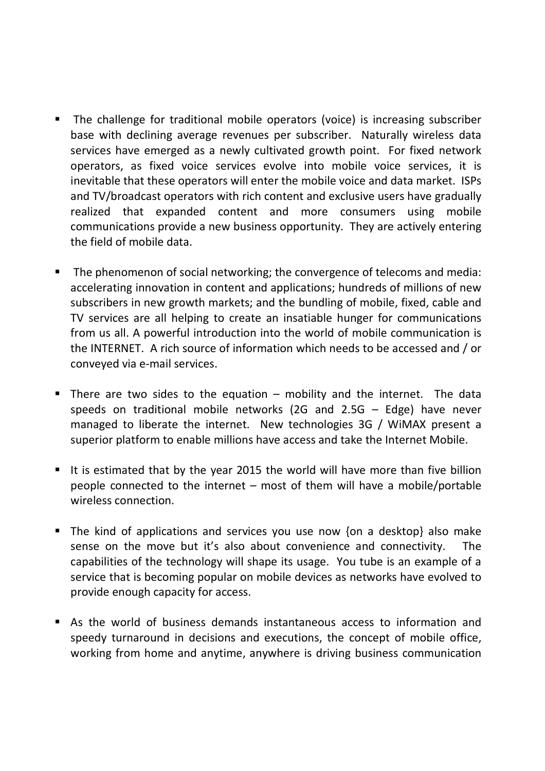- **The challenge for traditional mobile operators (voice) is increasing subscriber** base with declining average revenues per subscriber. Naturally wireless data services have emerged as a newly cultivated growth point. For fixed network operators, as fixed voice services evolve into mobile voice services, it is inevitable that these operators will enter the mobile voice and data market. ISPs and TV/broadcast operators with rich content and exclusive users have gradually realized that expanded content and more consumers using mobile communications provide a new business opportunity. They are actively entering the field of mobile data.
- The phenomenon of social networking; the convergence of telecoms and media: accelerating innovation in content and applications; hundreds of millions of new subscribers in new growth markets; and the bundling of mobile, fixed, cable and TV services are all helping to create an insatiable hunger for communications from us all. A powerful introduction into the world of mobile communication is the INTERNET. A rich source of information which needs to be accessed and / or conveyed via e-mail services.
- There are two sides to the equation  $-$  mobility and the internet. The data speeds on traditional mobile networks (2G and 2.5G – Edge) have never managed to liberate the internet. New technologies 3G / WiMAX present a superior platform to enable millions have access and take the Internet Mobile.
- It is estimated that by the year 2015 the world will have more than five billion people connected to the internet – most of them will have a mobile/portable wireless connection.
- The kind of applications and services you use now {on a desktop} also make sense on the move but it's also about convenience and connectivity. The capabilities of the technology will shape its usage. You tube is an example of a service that is becoming popular on mobile devices as networks have evolved to provide enough capacity for access.
- As the world of business demands instantaneous access to information and speedy turnaround in decisions and executions, the concept of mobile office, working from home and anytime, anywhere is driving business communication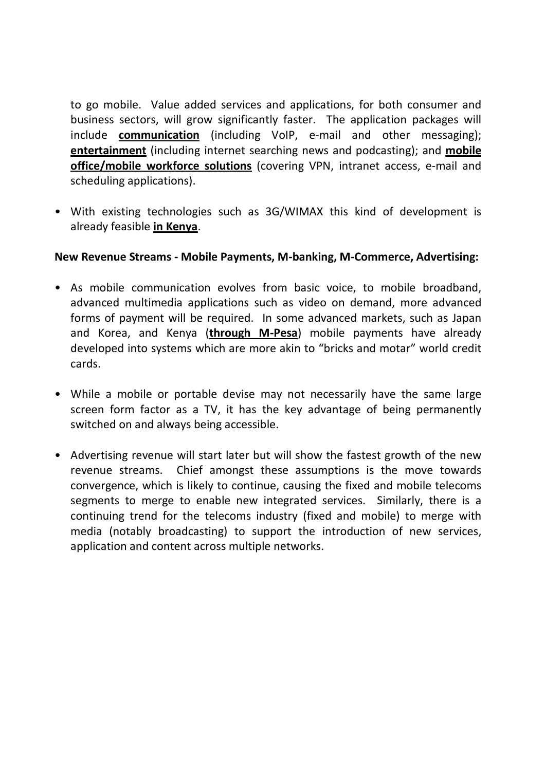to go mobile. Value added services and applications, for both consumer and business sectors, will grow significantly faster. The application packages will include **communication** (including VoIP, e-mail and other messaging); **entertainment** (including internet searching news and podcasting); and **mobile office/mobile workforce solutions** (covering VPN, intranet access, e-mail and scheduling applications).

• With existing technologies such as 3G/WIMAX this kind of development is already feasible **in Kenya**.

## **New Revenue Streams - Mobile Payments, M-banking, M-Commerce, Advertising:**

- As mobile communication evolves from basic voice, to mobile broadband, advanced multimedia applications such as video on demand, more advanced forms of payment will be required. In some advanced markets, such as Japan and Korea, and Kenya (**through M-Pesa**) mobile payments have already developed into systems which are more akin to "bricks and motar" world credit cards.
- While a mobile or portable devise may not necessarily have the same large screen form factor as a TV, it has the key advantage of being permanently switched on and always being accessible.
- Advertising revenue will start later but will show the fastest growth of the new revenue streams. Chief amongst these assumptions is the move towards convergence, which is likely to continue, causing the fixed and mobile telecoms segments to merge to enable new integrated services. Similarly, there is a continuing trend for the telecoms industry (fixed and mobile) to merge with media (notably broadcasting) to support the introduction of new services, application and content across multiple networks.